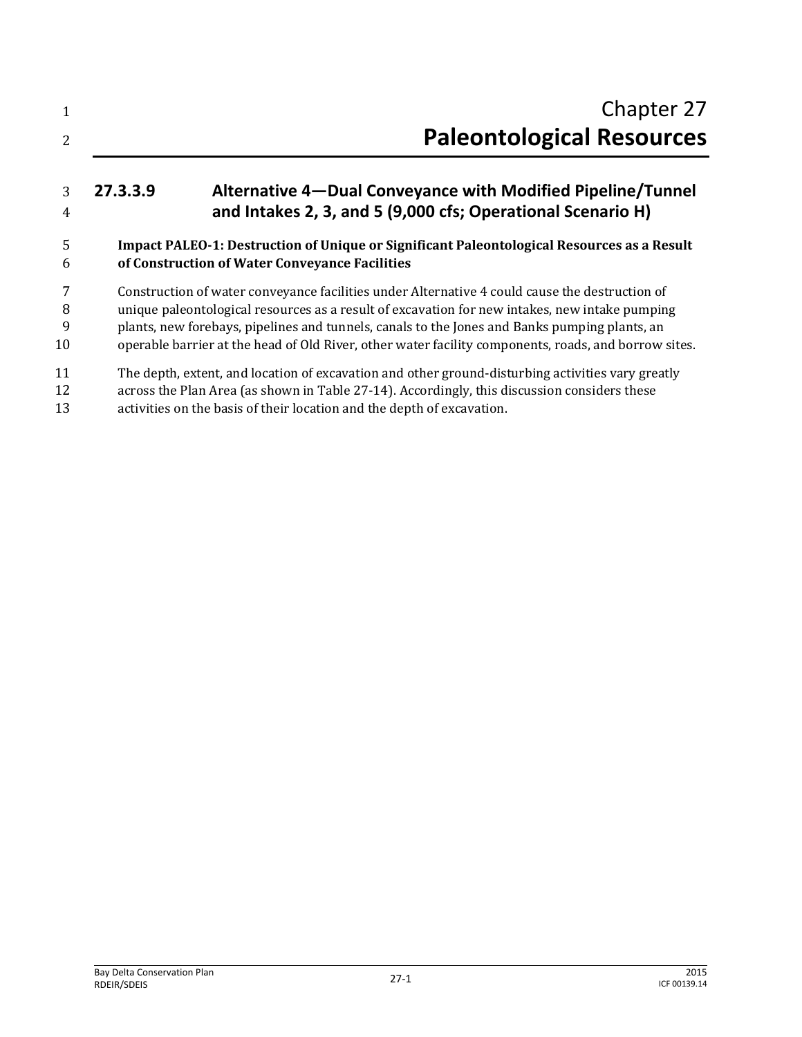| 2              |          | Chapter 27<br><b>Paleontological Resources</b>                                                                                                                                                                                                                                                                                                                                                            |
|----------------|----------|-----------------------------------------------------------------------------------------------------------------------------------------------------------------------------------------------------------------------------------------------------------------------------------------------------------------------------------------------------------------------------------------------------------|
| 3<br>4         | 27.3.3.9 | Alternative 4-Dual Conveyance with Modified Pipeline/Tunnel<br>and Intakes 2, 3, and 5 (9,000 cfs; Operational Scenario H)                                                                                                                                                                                                                                                                                |
| 5<br>6         |          | Impact PALEO-1: Destruction of Unique or Significant Paleontological Resources as a Result<br>of Construction of Water Conveyance Facilities                                                                                                                                                                                                                                                              |
| 8<br>9<br>10   |          | Construction of water conveyance facilities under Alternative 4 could cause the destruction of<br>unique paleontological resources as a result of excavation for new intakes, new intake pumping<br>plants, new forebays, pipelines and tunnels, canals to the Jones and Banks pumping plants, an<br>operable barrier at the head of Old River, other water facility components, roads, and borrow sites. |
| 11<br>12<br>13 |          | The depth, extent, and location of excavation and other ground-disturbing activities vary greatly<br>across the Plan Area (as shown in Table 27-14). Accordingly, this discussion considers these<br>activities on the basis of their location and the depth of excavation.                                                                                                                               |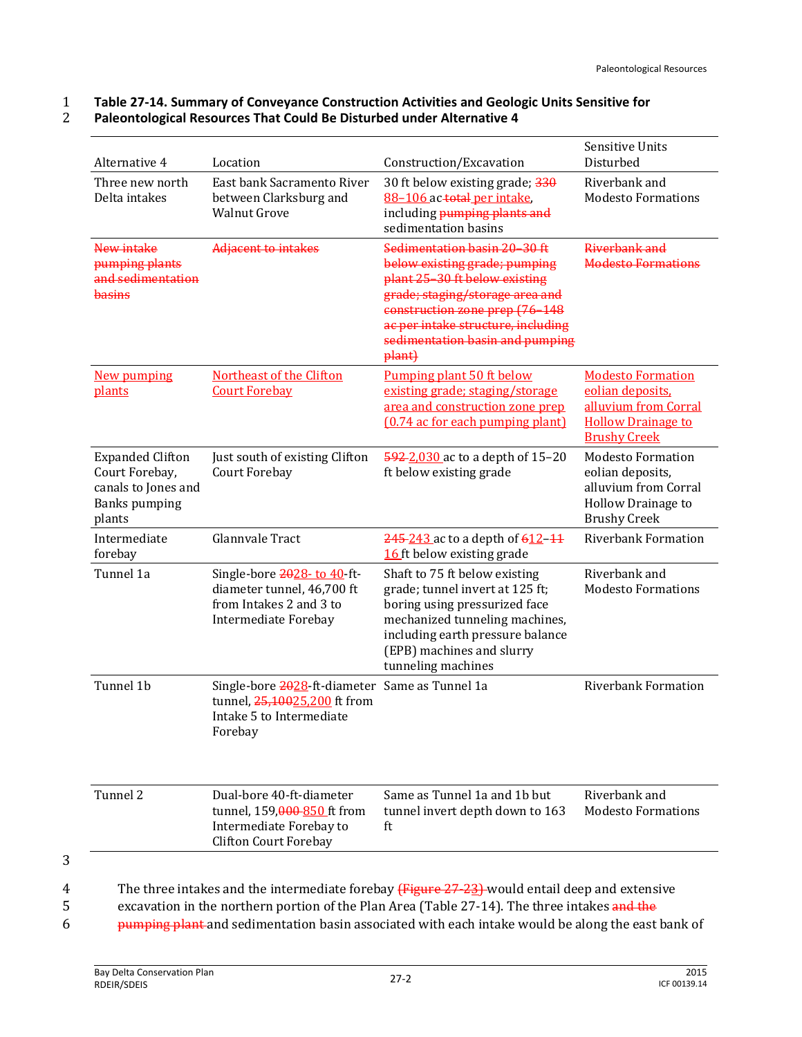#### 1 **Table 27-14. Summary of Conveyance Construction Activities and Geologic Units Sensitive for**  2 **Paleontological Resources That Could Be Disturbed under Alternative 4**

| Alternative 4                                                                                      | Location                                                                                                              | Construction/Excavation                                                                                                                                                                                                                                | <b>Sensitive Units</b><br>Disturbed                                                                                      |
|----------------------------------------------------------------------------------------------------|-----------------------------------------------------------------------------------------------------------------------|--------------------------------------------------------------------------------------------------------------------------------------------------------------------------------------------------------------------------------------------------------|--------------------------------------------------------------------------------------------------------------------------|
| Three new north<br>Delta intakes                                                                   | East bank Sacramento River<br>between Clarksburg and<br><b>Walnut Grove</b>                                           | 30 ft below existing grade; 330<br>88-106 ac-total per intake,<br>including pumping plants and<br>sedimentation basins                                                                                                                                 | Riverbank and<br><b>Modesto Formations</b>                                                                               |
| New intake<br>pumping plants<br>and sedimentation<br>basins                                        | Adjacent to intakes                                                                                                   | Sedimentation basin 20-30 ft<br>below existing grade; pumping<br>plant 25-30 ft below existing<br>grade; staging/storage area and<br>construction zone prep (76-148<br>ac per intake structure, including<br>sedimentation basin and pumping<br>plant) | Riverbank and<br><b>Modesto Formations</b>                                                                               |
| New pumping<br>plants                                                                              | Northeast of the Clifton<br><b>Court Forebay</b>                                                                      | Pumping plant 50 ft below<br>existing grade; staging/storage<br>area and construction zone prep<br>(0.74 ac for each pumping plant)                                                                                                                    | <b>Modesto Formation</b><br>eolian deposits,<br>alluvium from Corral<br><b>Hollow Drainage to</b><br><b>Brushy Creek</b> |
| <b>Expanded Clifton</b><br>Court Forebay,<br>canals to Jones and<br><b>Banks</b> pumping<br>plants | Just south of existing Clifton<br>Court Forebay                                                                       | 592-2,030 ac to a depth of 15-20<br>ft below existing grade                                                                                                                                                                                            | <b>Modesto Formation</b><br>eolian deposits,<br>alluvium from Corral<br>Hollow Drainage to<br><b>Brushy Creek</b>        |
| Intermediate<br>forebay                                                                            | Glannvale Tract                                                                                                       | 245-243 ac to a depth of 612-11<br>16 ft below existing grade                                                                                                                                                                                          | <b>Riverbank Formation</b>                                                                                               |
| Tunnel 1a                                                                                          | Single-bore 2028-to 40-ft-<br>diameter tunnel, 46,700 ft<br>from Intakes 2 and 3 to<br>Intermediate Forebay           | Shaft to 75 ft below existing<br>grade; tunnel invert at 125 ft;<br>boring using pressurized face<br>mechanized tunneling machines,<br>including earth pressure balance<br>(EPB) machines and slurry<br>tunneling machines                             | Riverbank and<br><b>Modesto Formations</b>                                                                               |
| Tunnel 1b                                                                                          | Single-bore 2028-ft-diameter Same as Tunnel 1a<br>tunnel, 25,10025,200 ft from<br>Intake 5 to Intermediate<br>Forebay |                                                                                                                                                                                                                                                        | <b>Riverbank Formation</b>                                                                                               |
| Tunnel 2                                                                                           | Dual-bore 40-ft-diameter<br>tunnel, 159,000-850 ft from<br>Intermediate Forebay to<br><b>Clifton Court Forebay</b>    | Same as Tunnel 1a and 1b but<br>tunnel invert depth down to 163<br>ft                                                                                                                                                                                  | Riverbank and<br><b>Modesto Formations</b>                                                                               |

3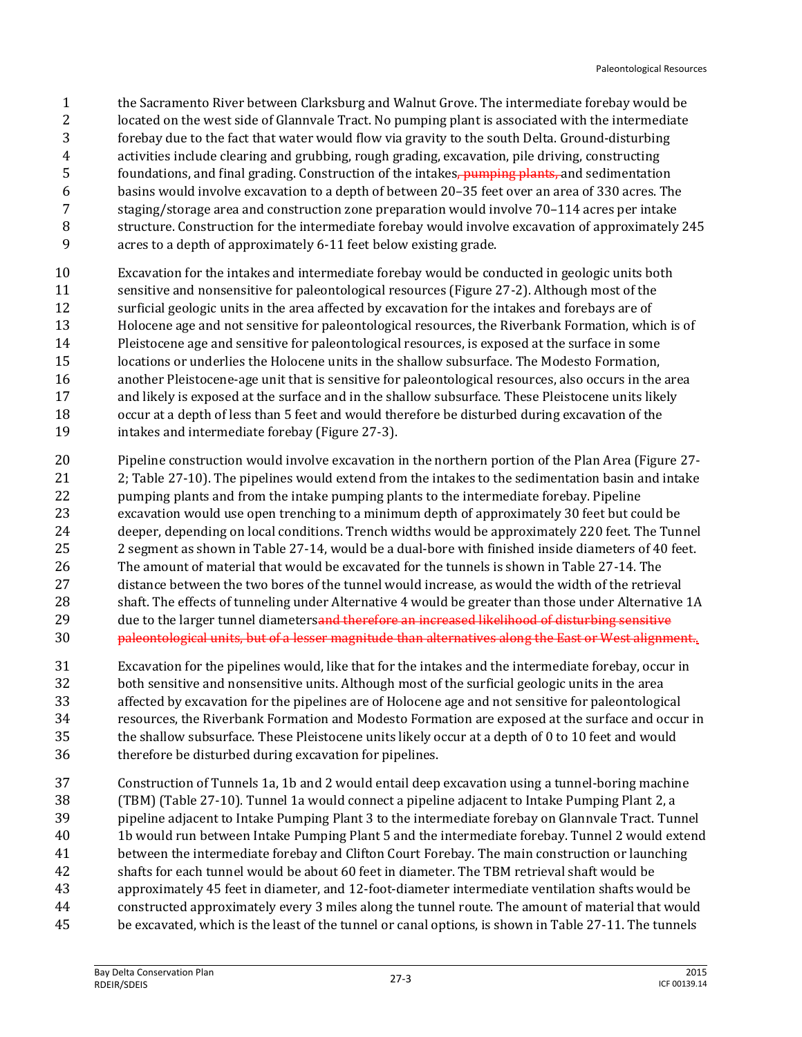- the Sacramento River between Clarksburg and Walnut Grove. The intermediate forebay would be located on the west side of Glannvale Tract. No pumping plant is associated with the intermediate forebay due to the fact that water would flow via gravity to the south Delta. Ground-disturbing activities include clearing and grubbing, rough grading, excavation, pile driving, constructing 5 foundations, and final grading. Construction of the intakes, pumping plants, and sedimentation basins would involve excavation to a depth of between 20–35 feet over an area of 330 acres. The staging/storage area and construction zone preparation would involve 70–114 acres per intake structure. Construction for the intermediate forebay would involve excavation of approximately 245 acres to a depth of approximately 6-11 feet below existing grade.
- Excavation for the intakes and intermediate forebay would be conducted in geologic units both sensitive and nonsensitive for paleontological resources (Figure 27-2). Although most of the surficial geologic units in the area affected by excavation for the intakes and forebays are of Holocene age and not sensitive for paleontological resources, the Riverbank Formation, which is of Pleistocene age and sensitive for paleontological resources, is exposed at the surface in some locations or underlies the Holocene units in the shallow subsurface. The Modesto Formation, another Pleistocene-age unit that is sensitive for paleontological resources, also occurs in the area and likely is exposed at the surface and in the shallow subsurface. These Pleistocene units likely occur at a depth of less than 5 feet and would therefore be disturbed during excavation of the intakes and intermediate forebay (Figure 27-3).
- Pipeline construction would involve excavation in the northern portion of the Plan Area (Figure 27- 2; Table 27-10). The pipelines would extend from the intakes to the sedimentation basin and intake pumping plants and from the intake pumping plants to the intermediate forebay. Pipeline excavation would use open trenching to a minimum depth of approximately 30 feet but could be deeper, depending on local conditions. Trench widths would be approximately 220 feet. The Tunnel 2 segment as shown in Table 27-14, would be a dual-bore with finished inside diameters of 40 feet. The amount of material that would be excavated for the tunnels is shown in Table 27-14. The distance between the two bores of the tunnel would increase, as would the width of the retrieval shaft. The effects of tunneling under Alternative 4 would be greater than those under Alternative 1A 29 due to the larger tunnel diameters<del>and therefore an increased likelihood of disturbing sensitive</del> 30 paleontological units, but of a lesser magnitude than alternatives along the East or West alignment.
- Excavation for the pipelines would, like that for the intakes and the intermediate forebay, occur in both sensitive and nonsensitive units. Although most of the surficial geologic units in the area affected by excavation for the pipelines are of Holocene age and not sensitive for paleontological resources, the Riverbank Formation and Modesto Formation are exposed at the surface and occur in the shallow subsurface. These Pleistocene units likely occur at a depth of 0 to 10 feet and would therefore be disturbed during excavation for pipelines.
- Construction of Tunnels 1a, 1b and 2 would entail deep excavation using a tunnel-boring machine (TBM) (Table 27-10). Tunnel 1a would connect a pipeline adjacent to Intake Pumping Plant 2, a pipeline adjacent to Intake Pumping Plant 3 to the intermediate forebay on Glannvale Tract. Tunnel 1b would run between Intake Pumping Plant 5 and the intermediate forebay. Tunnel 2 would extend between the intermediate forebay and Clifton Court Forebay. The main construction or launching shafts for each tunnel would be about 60 feet in diameter. The TBM retrieval shaft would be approximately 45 feet in diameter, and 12-foot-diameter intermediate ventilation shafts would be constructed approximately every 3 miles along the tunnel route. The amount of material that would be excavated, which is the least of the tunnel or canal options, is shown in Table 27-11. The tunnels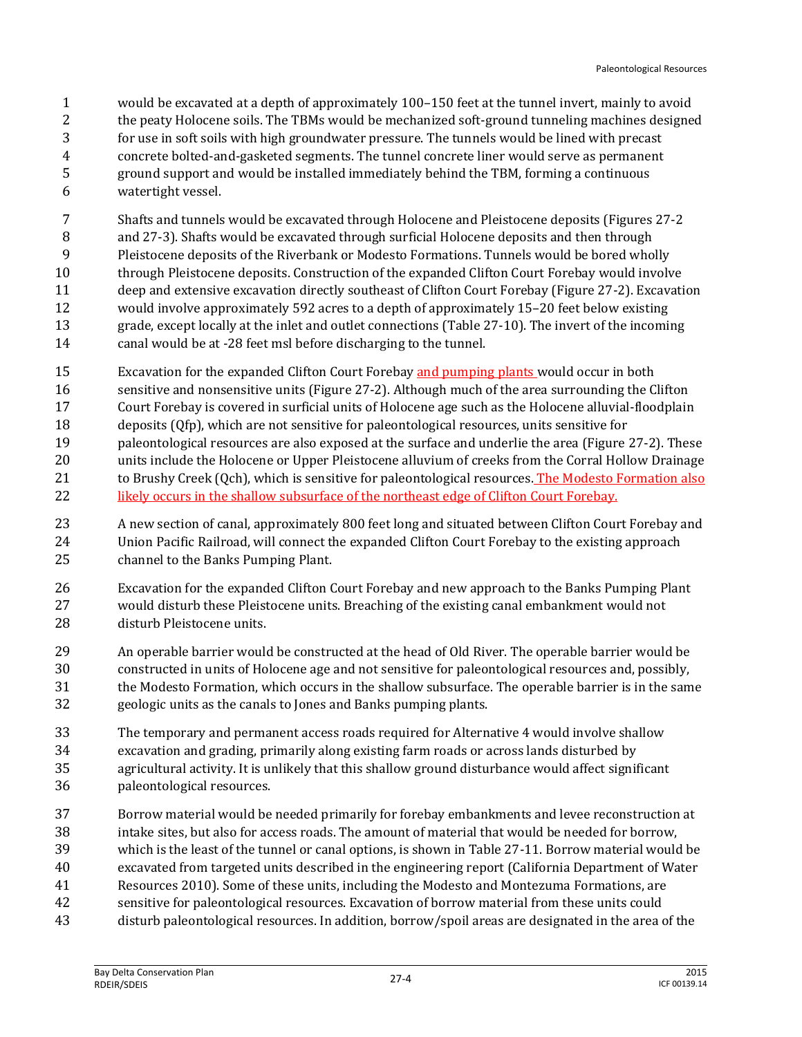would be excavated at a depth of approximately 100–150 feet at the tunnel invert, mainly to avoid the peaty Holocene soils. The TBMs would be mechanized soft-ground tunneling machines designed for use in soft soils with high groundwater pressure. The tunnels would be lined with precast concrete bolted-and-gasketed segments. The tunnel concrete liner would serve as permanent ground support and would be installed immediately behind the TBM, forming a continuous watertight vessel.

 Shafts and tunnels would be excavated through Holocene and Pleistocene deposits (Figures 27-2 and 27-3). Shafts would be excavated through surficial Holocene deposits and then through Pleistocene deposits of the Riverbank or Modesto Formations. Tunnels would be bored wholly through Pleistocene deposits. Construction of the expanded Clifton Court Forebay would involve deep and extensive excavation directly southeast of Clifton Court Forebay (Figure 27-2). Excavation would involve approximately 592 acres to a depth of approximately 15–20 feet below existing grade, except locally at the inlet and outlet connections (Table 27-10). The invert of the incoming canal would be at -28 feet msl before discharging to the tunnel.

- Excavation for the expanded Clifton Court Forebay and pumping plants would occur in both sensitive and nonsensitive units (Figure 27-2). Although much of the area surrounding the Clifton
- Court Forebay is covered in surficial units of Holocene age such as the Holocene alluvial-floodplain
- deposits (Qfp), which are not sensitive for paleontological resources, units sensitive for
- paleontological resources are also exposed at the surface and underlie the area (Figure 27-2). These
- units include the Holocene or Upper Pleistocene alluvium of creeks from the Corral Hollow Drainage 21 to Brushy Creek (Qch), which is sensitive for paleontological resources. The Modesto Formation also 22 likely occurs in the shallow subsurface of the northeast edge of Clifton Court Forebay.
- A new section of canal, approximately 800 feet long and situated between Clifton Court Forebay and Union Pacific Railroad, will connect the expanded Clifton Court Forebay to the existing approach channel to the Banks Pumping Plant.
- Excavation for the expanded Clifton Court Forebay and new approach to the Banks Pumping Plant would disturb these Pleistocene units. Breaching of the existing canal embankment would not disturb Pleistocene units.
- An operable barrier would be constructed at the head of Old River. The operable barrier would be constructed in units of Holocene age and not sensitive for paleontological resources and, possibly, the Modesto Formation, which occurs in the shallow subsurface. The operable barrier is in the same geologic units as the canals to Jones and Banks pumping plants.
- The temporary and permanent access roads required for Alternative 4 would involve shallow excavation and grading, primarily along existing farm roads or across lands disturbed by agricultural activity. It is unlikely that this shallow ground disturbance would affect significant paleontological resources.
- Borrow material would be needed primarily for forebay embankments and levee reconstruction at intake sites, but also for access roads. The amount of material that would be needed for borrow,
- which is the least of the tunnel or canal options, is shown in Table 27-11. Borrow material would be
- excavated from targeted units described in the engineering report (California Department of Water
- Resources 2010). Some of these units, including the Modesto and Montezuma Formations, are
- sensitive for paleontological resources. Excavation of borrow material from these units could
- disturb paleontological resources. In addition, borrow/spoil areas are designated in the area of the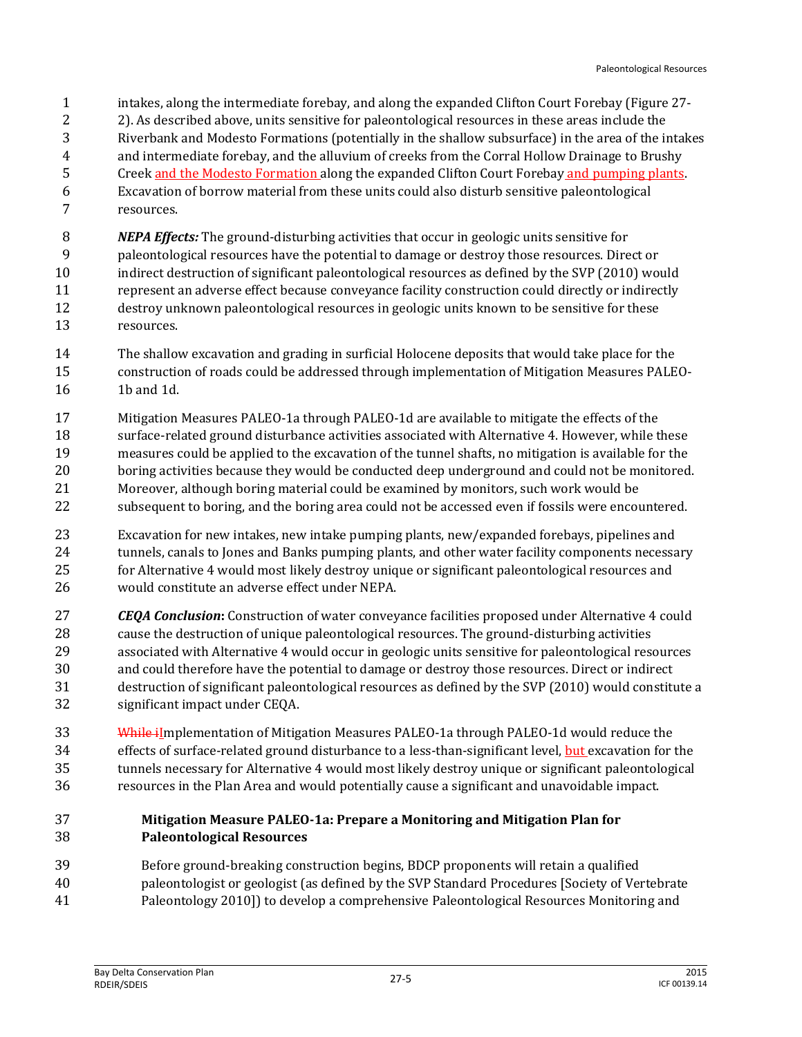- intakes, along the intermediate forebay, and along the expanded Clifton Court Forebay (Figure 27-
- 2). As described above, units sensitive for paleontological resources in these areas include the
- Riverbank and Modesto Formations (potentially in the shallow subsurface) in the area of the intakes
- and intermediate forebay, and the alluvium of creeks from the Corral Hollow Drainage to Brushy
- Creek and the Modesto Formation along the expanded Clifton Court Forebay and pumping plants. Excavation of borrow material from these units could also disturb sensitive paleontological
- resources.

*NEPA Effects:* The ground-disturbing activities that occur in geologic units sensitive for

- paleontological resources have the potential to damage or destroy those resources. Direct or
- indirect destruction of significant paleontological resources as defined by the SVP (2010) would
- represent an adverse effect because conveyance facility construction could directly or indirectly destroy unknown paleontological resources in geologic units known to be sensitive for these resources.
- The shallow excavation and grading in surficial Holocene deposits that would take place for the construction of roads could be addressed through implementation of Mitigation Measures PALEO-1b and 1d.
- Mitigation Measures PALEO-1a through PALEO-1d are available to mitigate the effects of the surface-related ground disturbance activities associated with Alternative 4. However, while these measures could be applied to the excavation of the tunnel shafts, no mitigation is available for the boring activities because they would be conducted deep underground and could not be monitored. Moreover, although boring material could be examined by monitors, such work would be
- subsequent to boring, and the boring area could not be accessed even if fossils were encountered.
- Excavation for new intakes, new intake pumping plants, new/expanded forebays, pipelines and 24 tunnels, canals to Jones and Banks pumping plants, and other water facility components necessary for Alternative 4 would most likely destroy unique or significant paleontological resources and would constitute an adverse effect under NEPA.
- *CEQA Conclusion***:** Construction of water conveyance facilities proposed under Alternative 4 could cause the destruction of unique paleontological resources. The ground-disturbing activities associated with Alternative 4 would occur in geologic units sensitive for paleontological resources and could therefore have the potential to damage or destroy those resources. Direct or indirect destruction of significant paleontological resources as defined by the SVP (2010) would constitute a significant impact under CEQA.
- 33 While ilmplementation of Mitigation Measures PALEO-1a through PALEO-1d would reduce the effects of surface-related ground disturbance to a less-than-significant level, but excavation for the tunnels necessary for Alternative 4 would most likely destroy unique or significant paleontological resources in the Plan Area and would potentially cause a significant and unavoidable impact.

## **Mitigation Measure PALEO-1a: Prepare a Monitoring and Mitigation Plan for Paleontological Resources**

- Before ground-breaking construction begins, BDCP proponents will retain a qualified
- paleontologist or geologist (as defined by the SVP Standard Procedures [Society of Vertebrate
- Paleontology 2010]) to develop a comprehensive Paleontological Resources Monitoring and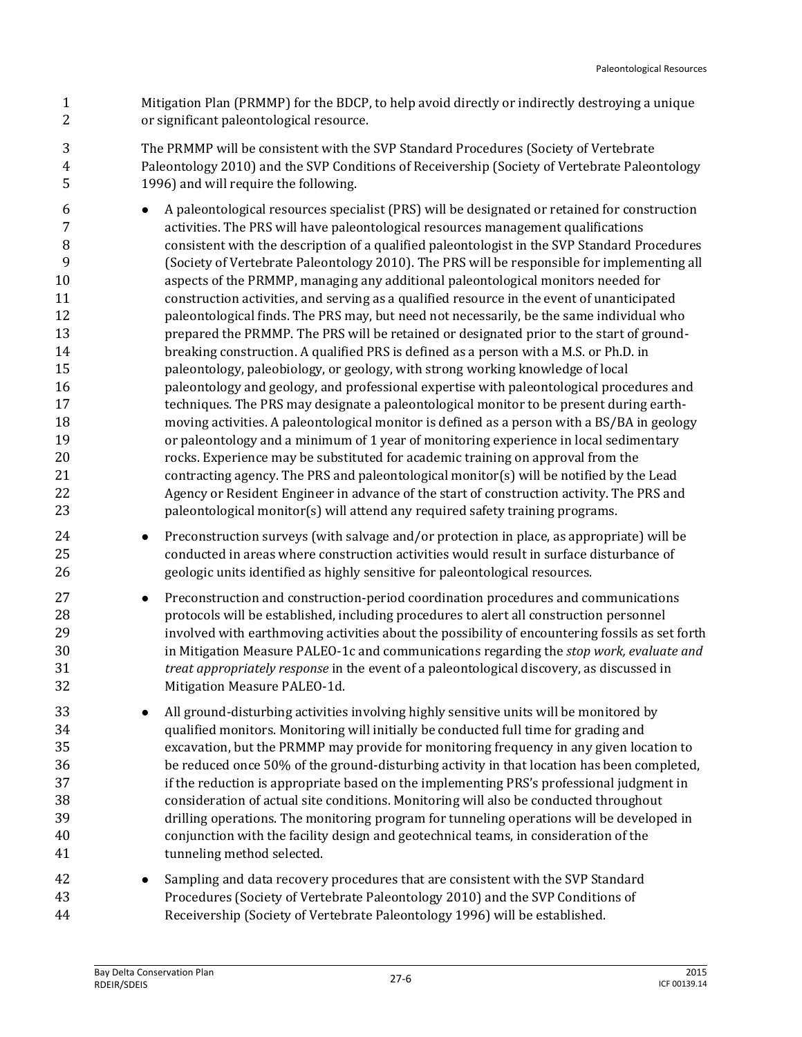- Mitigation Plan (PRMMP) for the BDCP, to help avoid directly or indirectly destroying a unique or significant paleontological resource.
- The PRMMP will be consistent with the SVP Standard Procedures (Society of Vertebrate Paleontology 2010) and the SVP Conditions of Receivership (Society of Vertebrate Paleontology 1996) and will require the following.
- A paleontological resources specialist (PRS) will be designated or retained for construction activities. The PRS will have paleontological resources management qualifications consistent with the description of a qualified paleontologist in the SVP Standard Procedures (Society of Vertebrate Paleontology 2010). The PRS will be responsible for implementing all aspects of the PRMMP, managing any additional paleontological monitors needed for construction activities, and serving as a qualified resource in the event of unanticipated paleontological finds. The PRS may, but need not necessarily, be the same individual who prepared the PRMMP. The PRS will be retained or designated prior to the start of ground- breaking construction. A qualified PRS is defined as a person with a M.S. or Ph.D. in paleontology, paleobiology, or geology, with strong working knowledge of local paleontology and geology, and professional expertise with paleontological procedures and techniques. The PRS may designate a paleontological monitor to be present during earth- moving activities. A paleontological monitor is defined as a person with a BS/BA in geology or paleontology and a minimum of 1 year of monitoring experience in local sedimentary rocks. Experience may be substituted for academic training on approval from the contracting agency. The PRS and paleontological monitor(s) will be notified by the Lead Agency or Resident Engineer in advance of the start of construction activity. The PRS and paleontological monitor(s) will attend any required safety training programs.
- Preconstruction surveys (with salvage and/or protection in place, as appropriate) will be conducted in areas where construction activities would result in surface disturbance of geologic units identified as highly sensitive for paleontological resources.
- Preconstruction and construction-period coordination procedures and communications protocols will be established, including procedures to alert all construction personnel involved with earthmoving activities about the possibility of encountering fossils as set forth in Mitigation Measure PALEO-1c and communications regarding the *stop work, evaluate and treat appropriately response* in the event of a paleontological discovery, as discussed in Mitigation Measure PALEO-1d.
- **All ground-disturbing activities involving highly sensitive units will be monitored by**  qualified monitors. Monitoring will initially be conducted full time for grading and excavation, but the PRMMP may provide for monitoring frequency in any given location to be reduced once 50% of the ground-disturbing activity in that location has been completed, if the reduction is appropriate based on the implementing PRS's professional judgment in consideration of actual site conditions. Monitoring will also be conducted throughout drilling operations. The monitoring program for tunneling operations will be developed in conjunction with the facility design and geotechnical teams, in consideration of the tunneling method selected.
- Sampling and data recovery procedures that are consistent with the SVP Standard Procedures (Society of Vertebrate Paleontology 2010) and the SVP Conditions of Receivership (Society of Vertebrate Paleontology 1996) will be established.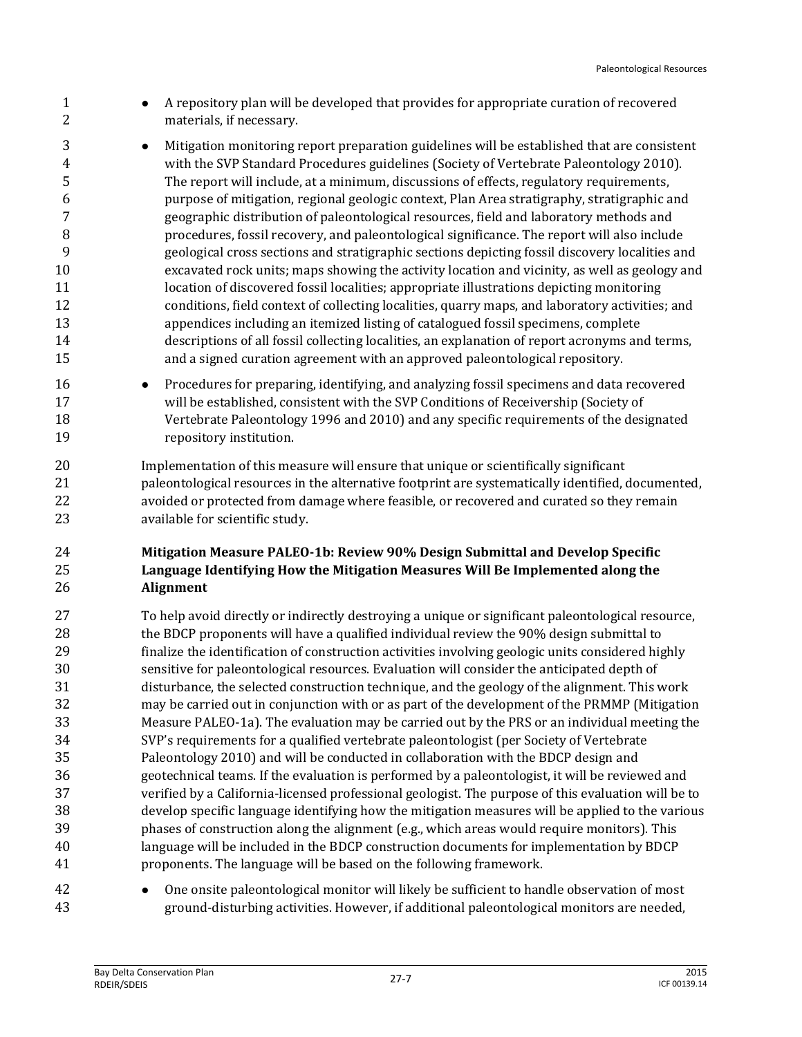- **A** repository plan will be developed that provides for appropriate curation of recovered materials, if necessary.
- **Mitigation monitoring report preparation guidelines will be established that are consistent**  with the SVP Standard Procedures guidelines (Society of Vertebrate Paleontology 2010). The report will include, at a minimum, discussions of effects, regulatory requirements, purpose of mitigation, regional geologic context, Plan Area stratigraphy, stratigraphic and geographic distribution of paleontological resources, field and laboratory methods and procedures, fossil recovery, and paleontological significance. The report will also include geological cross sections and stratigraphic sections depicting fossil discovery localities and excavated rock units; maps showing the activity location and vicinity, as well as geology and 11 location of discovered fossil localities; appropriate illustrations depicting monitoring conditions, field context of collecting localities, quarry maps, and laboratory activities; and appendices including an itemized listing of catalogued fossil specimens, complete descriptions of all fossil collecting localities, an explanation of report acronyms and terms, and a signed curation agreement with an approved paleontological repository.
- Procedures for preparing, identifying, and analyzing fossil specimens and data recovered will be established, consistent with the SVP Conditions of Receivership (Society of Vertebrate Paleontology 1996 and 2010) and any specific requirements of the designated repository institution.

 Implementation of this measure will ensure that unique or scientifically significant paleontological resources in the alternative footprint are systematically identified, documented, avoided or protected from damage where feasible, or recovered and curated so they remain available for scientific study.

## **Mitigation Measure PALEO-1b: Review 90% Design Submittal and Develop Specific Language Identifying How the Mitigation Measures Will Be Implemented along the Alignment**

- To help avoid directly or indirectly destroying a unique or significant paleontological resource, 28 the BDCP proponents will have a qualified individual review the 90% design submittal to finalize the identification of construction activities involving geologic units considered highly sensitive for paleontological resources. Evaluation will consider the anticipated depth of disturbance, the selected construction technique, and the geology of the alignment. This work may be carried out in conjunction with or as part of the development of the PRMMP (Mitigation Measure PALEO-1a). The evaluation may be carried out by the PRS or an individual meeting the SVP's requirements for a qualified vertebrate paleontologist (per Society of Vertebrate Paleontology 2010) and will be conducted in collaboration with the BDCP design and geotechnical teams. If the evaluation is performed by a paleontologist, it will be reviewed and verified by a California-licensed professional geologist. The purpose of this evaluation will be to develop specific language identifying how the mitigation measures will be applied to the various phases of construction along the alignment (e.g., which areas would require monitors). This language will be included in the BDCP construction documents for implementation by BDCP proponents. The language will be based on the following framework.
- One onsite paleontological monitor will likely be sufficient to handle observation of most ground-disturbing activities. However, if additional paleontological monitors are needed,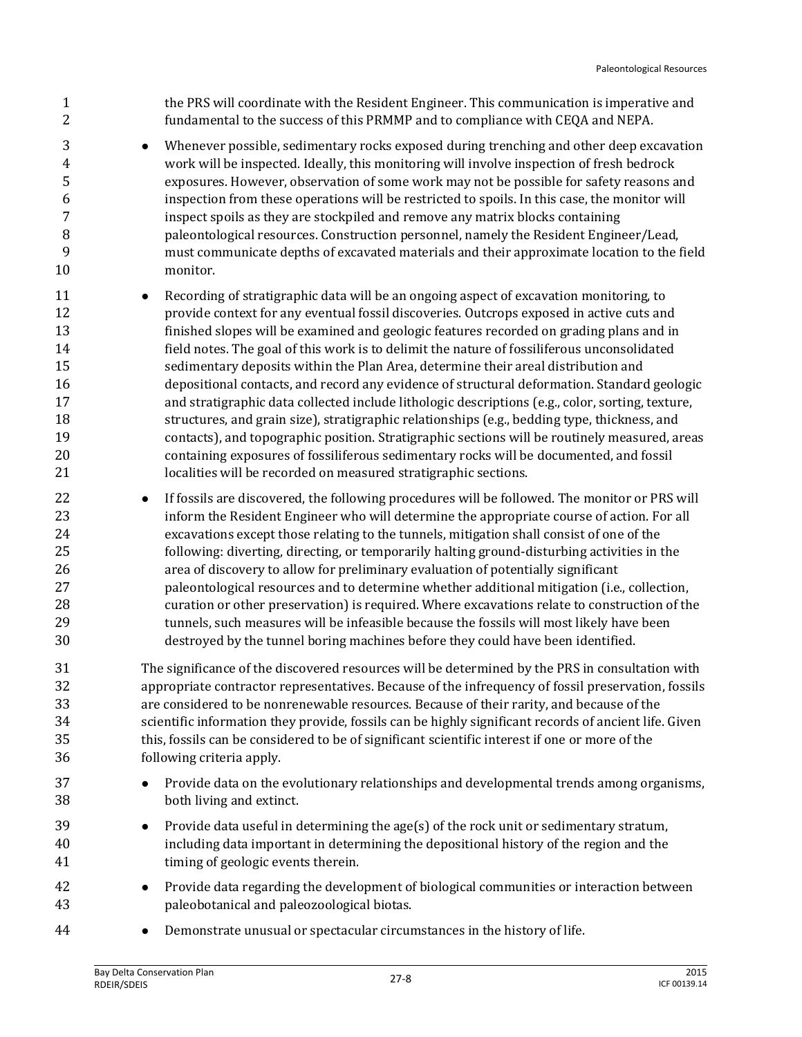| $\mathbf{1}$<br>2                                              | the PRS will coordinate with the Resident Engineer. This communication is imperative and<br>fundamental to the success of this PRMMP and to compliance with CEQA and NEPA.                                                                                                                                                                                                                                                                                                                                                                                                                                                                                                                                                                                                                                                                                                                                                                                                                                                                      |
|----------------------------------------------------------------|-------------------------------------------------------------------------------------------------------------------------------------------------------------------------------------------------------------------------------------------------------------------------------------------------------------------------------------------------------------------------------------------------------------------------------------------------------------------------------------------------------------------------------------------------------------------------------------------------------------------------------------------------------------------------------------------------------------------------------------------------------------------------------------------------------------------------------------------------------------------------------------------------------------------------------------------------------------------------------------------------------------------------------------------------|
| 3<br>$\overline{4}$<br>5<br>6<br>7<br>8<br>9<br>10             | Whenever possible, sedimentary rocks exposed during trenching and other deep excavation<br>$\bullet$<br>work will be inspected. Ideally, this monitoring will involve inspection of fresh bedrock<br>exposures. However, observation of some work may not be possible for safety reasons and<br>inspection from these operations will be restricted to spoils. In this case, the monitor will<br>inspect spoils as they are stockpiled and remove any matrix blocks containing<br>paleontological resources. Construction personnel, namely the Resident Engineer/Lead,<br>must communicate depths of excavated materials and their approximate location to the field<br>monitor.                                                                                                                                                                                                                                                                                                                                                               |
| 11<br>12<br>13<br>14<br>15<br>16<br>17<br>18<br>19<br>20<br>21 | Recording of stratigraphic data will be an ongoing aspect of excavation monitoring, to<br>$\bullet$<br>provide context for any eventual fossil discoveries. Outcrops exposed in active cuts and<br>finished slopes will be examined and geologic features recorded on grading plans and in<br>field notes. The goal of this work is to delimit the nature of fossiliferous unconsolidated<br>sedimentary deposits within the Plan Area, determine their areal distribution and<br>depositional contacts, and record any evidence of structural deformation. Standard geologic<br>and stratigraphic data collected include lithologic descriptions (e.g., color, sorting, texture,<br>structures, and grain size), stratigraphic relationships (e.g., bedding type, thickness, and<br>contacts), and topographic position. Stratigraphic sections will be routinely measured, areas<br>containing exposures of fossiliferous sedimentary rocks will be documented, and fossil<br>localities will be recorded on measured stratigraphic sections. |
| 22<br>23<br>24<br>25<br>26<br>27<br>28<br>29<br>30             | If fossils are discovered, the following procedures will be followed. The monitor or PRS will<br>$\bullet$<br>inform the Resident Engineer who will determine the appropriate course of action. For all<br>excavations except those relating to the tunnels, mitigation shall consist of one of the<br>following: diverting, directing, or temporarily halting ground-disturbing activities in the<br>area of discovery to allow for preliminary evaluation of potentially significant<br>paleontological resources and to determine whether additional mitigation (i.e., collection,<br>curation or other preservation) is required. Where excavations relate to construction of the<br>tunnels, such measures will be infeasible because the fossils will most likely have been<br>destroyed by the tunnel boring machines before they could have been identified.                                                                                                                                                                            |
| 31<br>32<br>33<br>34<br>35<br>36                               | The significance of the discovered resources will be determined by the PRS in consultation with<br>appropriate contractor representatives. Because of the infrequency of fossil preservation, fossils<br>are considered to be nonrenewable resources. Because of their rarity, and because of the<br>scientific information they provide, fossils can be highly significant records of ancient life. Given<br>this, fossils can be considered to be of significant scientific interest if one or more of the<br>following criteria apply.                                                                                                                                                                                                                                                                                                                                                                                                                                                                                                       |
| 37<br>38                                                       | Provide data on the evolutionary relationships and developmental trends among organisms,<br>$\bullet$<br>both living and extinct.                                                                                                                                                                                                                                                                                                                                                                                                                                                                                                                                                                                                                                                                                                                                                                                                                                                                                                               |
| 39<br>40<br>41                                                 | Provide data useful in determining the $age(s)$ of the rock unit or sedimentary stratum,<br>$\bullet$<br>including data important in determining the depositional history of the region and the<br>timing of geologic events therein.                                                                                                                                                                                                                                                                                                                                                                                                                                                                                                                                                                                                                                                                                                                                                                                                           |
| 42<br>43                                                       | Provide data regarding the development of biological communities or interaction between<br>$\bullet$<br>paleobotanical and paleozoological biotas.                                                                                                                                                                                                                                                                                                                                                                                                                                                                                                                                                                                                                                                                                                                                                                                                                                                                                              |
| 44                                                             | Demonstrate unusual or spectacular circumstances in the history of life.                                                                                                                                                                                                                                                                                                                                                                                                                                                                                                                                                                                                                                                                                                                                                                                                                                                                                                                                                                        |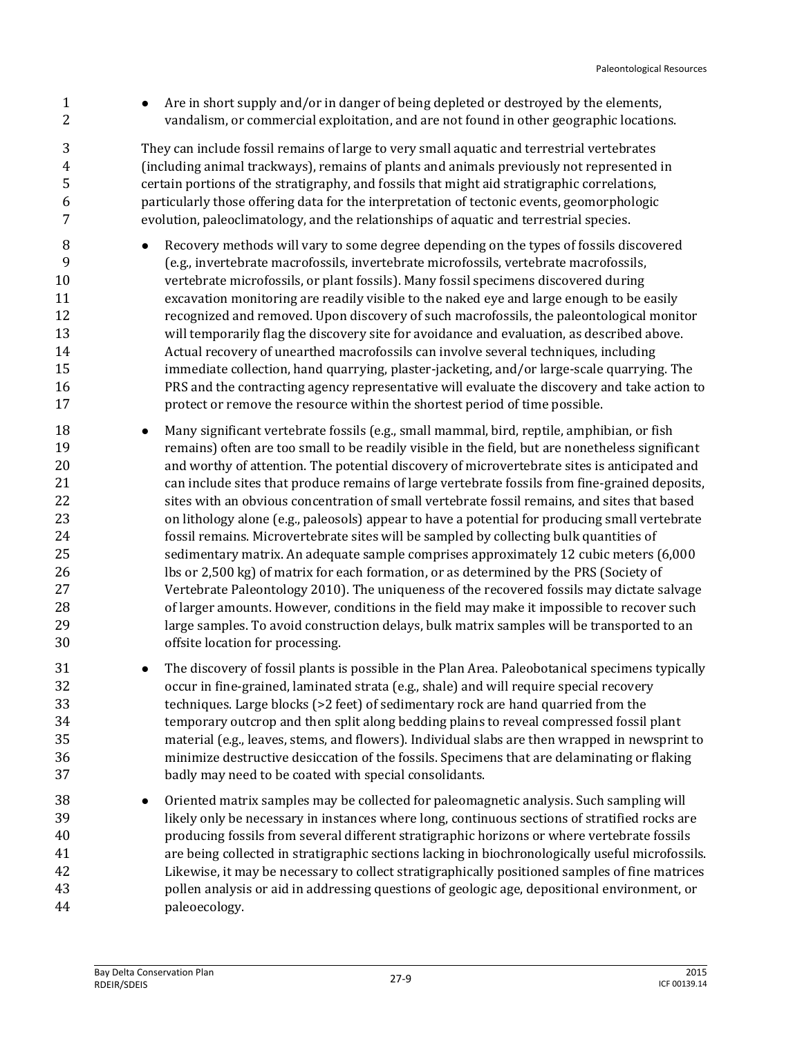**Are in short supply and/or in danger of being depleted or destroyed by the elements,** vandalism, or commercial exploitation, and are not found in other geographic locations.

 They can include fossil remains of large to very small aquatic and terrestrial vertebrates (including animal trackways), remains of plants and animals previously not represented in certain portions of the stratigraphy, and fossils that might aid stratigraphic correlations, particularly those offering data for the interpretation of tectonic events, geomorphologic evolution, paleoclimatology, and the relationships of aquatic and terrestrial species.

- **BECOVER** Recovery methods will vary to some degree depending on the types of fossils discovered (e.g., invertebrate macrofossils, invertebrate microfossils, vertebrate macrofossils, vertebrate microfossils, or plant fossils). Many fossil specimens discovered during excavation monitoring are readily visible to the naked eye and large enough to be easily recognized and removed. Upon discovery of such macrofossils, the paleontological monitor will temporarily flag the discovery site for avoidance and evaluation, as described above. Actual recovery of unearthed macrofossils can involve several techniques, including immediate collection, hand quarrying, plaster-jacketing, and/or large-scale quarrying. The PRS and the contracting agency representative will evaluate the discovery and take action to protect or remove the resource within the shortest period of time possible.
- **Many significant vertebrate fossils (e.g., small mammal, bird, reptile, amphibian, or fish**  remains) often are too small to be readily visible in the field, but are nonetheless significant and worthy of attention. The potential discovery of microvertebrate sites is anticipated and can include sites that produce remains of large vertebrate fossils from fine-grained deposits, sites with an obvious concentration of small vertebrate fossil remains, and sites that based on lithology alone (e.g., paleosols) appear to have a potential for producing small vertebrate fossil remains. Microvertebrate sites will be sampled by collecting bulk quantities of sedimentary matrix. An adequate sample comprises approximately 12 cubic meters (6,000 lbs or 2,500 kg) of matrix for each formation, or as determined by the PRS (Society of Vertebrate Paleontology 2010). The uniqueness of the recovered fossils may dictate salvage of larger amounts. However, conditions in the field may make it impossible to recover such large samples. To avoid construction delays, bulk matrix samples will be transported to an offsite location for processing.
- 31 The discovery of fossil plants is possible in the Plan Area. Paleobotanical specimens typically occur in fine-grained, laminated strata (e.g., shale) and will require special recovery techniques. Large blocks (>2 feet) of sedimentary rock are hand quarried from the temporary outcrop and then split along bedding plains to reveal compressed fossil plant material (e.g., leaves, stems, and flowers). Individual slabs are then wrapped in newsprint to minimize destructive desiccation of the fossils. Specimens that are delaminating or flaking badly may need to be coated with special consolidants.
- Oriented matrix samples may be collected for paleomagnetic analysis. Such sampling will likely only be necessary in instances where long, continuous sections of stratified rocks are producing fossils from several different stratigraphic horizons or where vertebrate fossils are being collected in stratigraphic sections lacking in biochronologically useful microfossils. Likewise, it may be necessary to collect stratigraphically positioned samples of fine matrices pollen analysis or aid in addressing questions of geologic age, depositional environment, or paleoecology.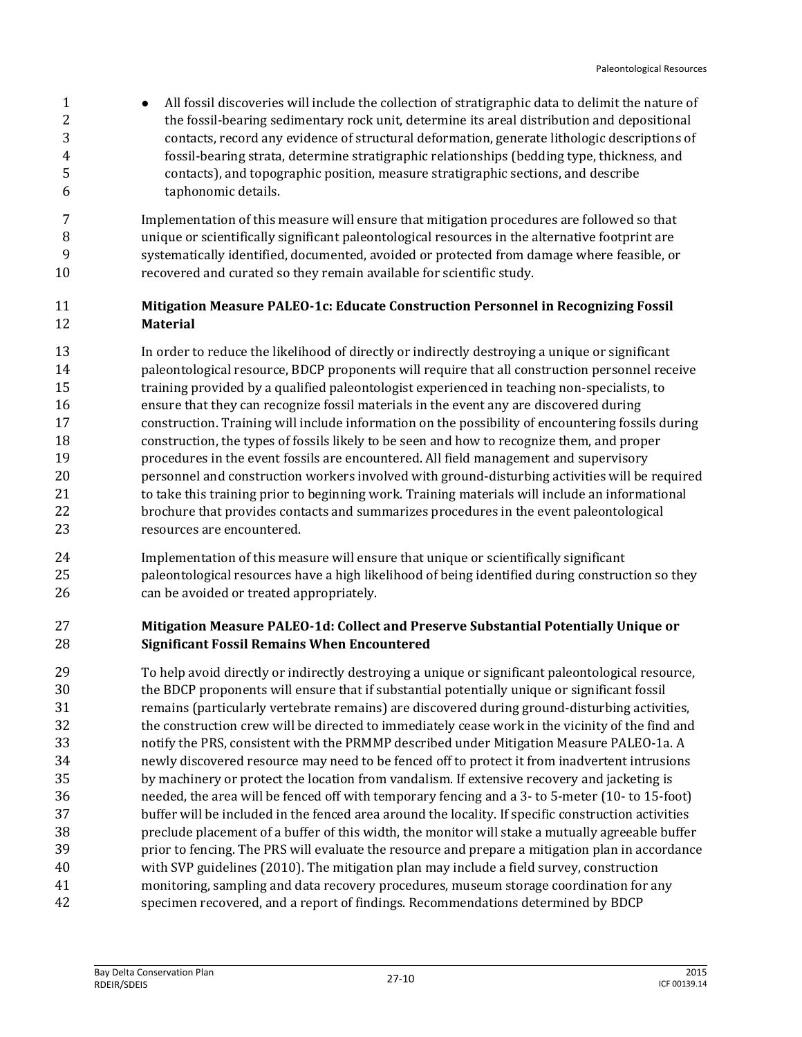1 • All fossil discoveries will include the collection of stratigraphic data to delimit the nature of 2 the fossil-bearing sedimentary rock unit, determine its areal distribution and depositional contacts, record any evidence of structural deformation, generate lithologic descriptions of fossil-bearing strata, determine stratigraphic relationships (bedding type, thickness, and contacts), and topographic position, measure stratigraphic sections, and describe taphonomic details.

 Implementation of this measure will ensure that mitigation procedures are followed so that unique or scientifically significant paleontological resources in the alternative footprint are systematically identified, documented, avoided or protected from damage where feasible, or recovered and curated so they remain available for scientific study.

## **Mitigation Measure PALEO-1c: Educate Construction Personnel in Recognizing Fossil Material**

 In order to reduce the likelihood of directly or indirectly destroying a unique or significant paleontological resource, BDCP proponents will require that all construction personnel receive training provided by a qualified paleontologist experienced in teaching non-specialists, to ensure that they can recognize fossil materials in the event any are discovered during construction. Training will include information on the possibility of encountering fossils during construction, the types of fossils likely to be seen and how to recognize them, and proper procedures in the event fossils are encountered. All field management and supervisory personnel and construction workers involved with ground-disturbing activities will be required to take this training prior to beginning work. Training materials will include an informational brochure that provides contacts and summarizes procedures in the event paleontological resources are encountered.

 Implementation of this measure will ensure that unique or scientifically significant paleontological resources have a high likelihood of being identified during construction so they can be avoided or treated appropriately.

## **Mitigation Measure PALEO-1d: Collect and Preserve Substantial Potentially Unique or Significant Fossil Remains When Encountered**

 To help avoid directly or indirectly destroying a unique or significant paleontological resource, the BDCP proponents will ensure that if substantial potentially unique or significant fossil remains (particularly vertebrate remains) are discovered during ground-disturbing activities, the construction crew will be directed to immediately cease work in the vicinity of the find and notify the PRS, consistent with the PRMMP described under Mitigation Measure PALEO-1a. A newly discovered resource may need to be fenced off to protect it from inadvertent intrusions by machinery or protect the location from vandalism. If extensive recovery and jacketing is needed, the area will be fenced off with temporary fencing and a 3- to 5-meter (10- to 15-foot) buffer will be included in the fenced area around the locality. If specific construction activities preclude placement of a buffer of this width, the monitor will stake a mutually agreeable buffer prior to fencing. The PRS will evaluate the resource and prepare a mitigation plan in accordance with SVP guidelines (2010). The mitigation plan may include a field survey, construction monitoring, sampling and data recovery procedures, museum storage coordination for any specimen recovered, and a report of findings. Recommendations determined by BDCP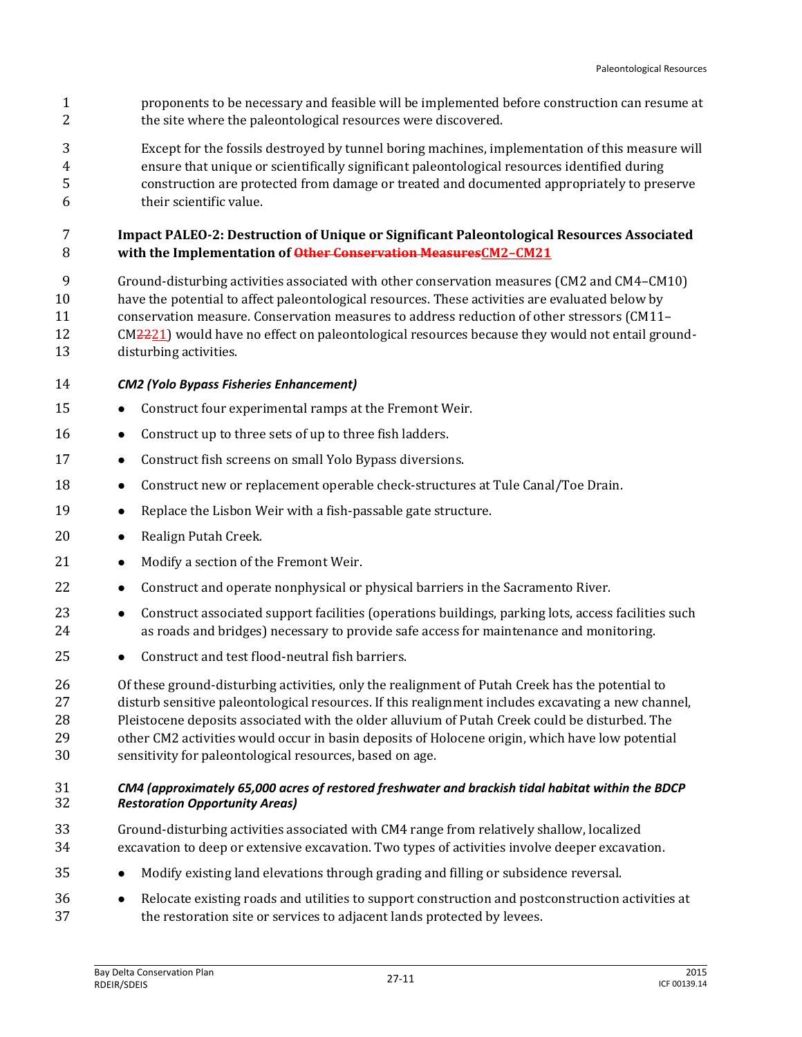- proponents to be necessary and feasible will be implemented before construction can resume at 2 the site where the paleontological resources were discovered.
- Except for the fossils destroyed by tunnel boring machines, implementation of this measure will ensure that unique or scientifically significant paleontological resources identified during construction are protected from damage or treated and documented appropriately to preserve their scientific value.

### **Impact PALEO-2: Destruction of Unique or Significant Paleontological Resources Associated with the Implementation of Other Conservation MeasuresCM2–CM21**

- Ground-disturbing activities associated with other conservation measures (CM2 and CM4–CM10) have the potential to affect paleontological resources. These activities are evaluated below by conservation measure. Conservation measures to address reduction of other stressors (CM11– 12 CM2221) would have no effect on paleontological resources because they would not entail ground-disturbing activities.
- *CM2 (Yolo Bypass Fisheries Enhancement)*
- 15 Construct four experimental ramps at the Fremont Weir.
- 16 Construct up to three sets of up to three fish ladders.
- 17 Construct fish screens on small Yolo Bypass diversions.
- **•** Construct new or replacement operable check-structures at Tule Canal/Toe Drain.
- 19 Replace the Lisbon Weir with a fish-passable gate structure.
- 20 · Realign Putah Creek.
- 21 Modify a section of the Fremont Weir.
- **•** Construct and operate nonphysical or physical barriers in the Sacramento River.
- **•** Construct associated support facilities (operations buildings, parking lots, access facilities such as roads and bridges) necessary to provide safe access for maintenance and monitoring.
- **•** Construct and test flood-neutral fish barriers.

 Of these ground-disturbing activities, only the realignment of Putah Creek has the potential to disturb sensitive paleontological resources. If this realignment includes excavating a new channel, Pleistocene deposits associated with the older alluvium of Putah Creek could be disturbed. The other CM2 activities would occur in basin deposits of Holocene origin, which have low potential sensitivity for paleontological resources, based on age.

#### *CM4 (approximately 65,000 acres of restored freshwater and brackish tidal habitat within the BDCP Restoration Opportunity Areas)*

- Ground-disturbing activities associated with CM4 range from relatively shallow, localized excavation to deep or extensive excavation. Two types of activities involve deeper excavation.
- Modify existing land elevations through grading and filling or subsidence reversal.
- Relocate existing roads and utilities to support construction and postconstruction activities at the restoration site or services to adjacent lands protected by levees.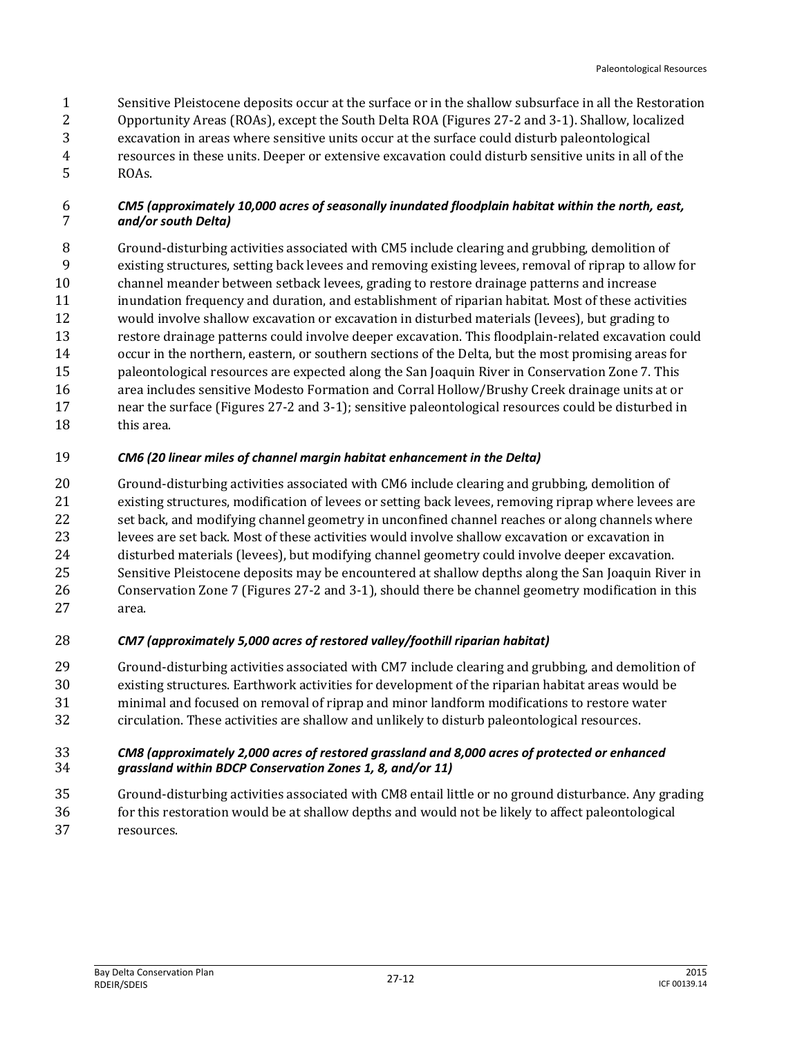Sensitive Pleistocene deposits occur at the surface or in the shallow subsurface in all the Restoration Opportunity Areas (ROAs), except the South Delta ROA (Figures 27-2 and 3-1). Shallow, localized excavation in areas where sensitive units occur at the surface could disturb paleontological resources in these units. Deeper or extensive excavation could disturb sensitive units in all of the ROAs.

#### *CM5 (approximately 10,000 acres of seasonally inundated floodplain habitat within the north, east, and/or south Delta)*

 Ground-disturbing activities associated with CM5 include clearing and grubbing, demolition of existing structures, setting back levees and removing existing levees, removal of riprap to allow for channel meander between setback levees, grading to restore drainage patterns and increase inundation frequency and duration, and establishment of riparian habitat. Most of these activities would involve shallow excavation or excavation in disturbed materials (levees), but grading to restore drainage patterns could involve deeper excavation. This floodplain-related excavation could occur in the northern, eastern, or southern sections of the Delta, but the most promising areas for paleontological resources are expected along the San Joaquin River in Conservation Zone 7. This area includes sensitive Modesto Formation and Corral Hollow/Brushy Creek drainage units at or near the surface (Figures 27-2 and 3-1); sensitive paleontological resources could be disturbed in this area.

# *CM6 (20 linear miles of channel margin habitat enhancement in the Delta)*

 Ground-disturbing activities associated with CM6 include clearing and grubbing, demolition of existing structures, modification of levees or setting back levees, removing riprap where levees are set back, and modifying channel geometry in unconfined channel reaches or along channels where levees are set back. Most of these activities would involve shallow excavation or excavation in disturbed materials (levees), but modifying channel geometry could involve deeper excavation. Sensitive Pleistocene deposits may be encountered at shallow depths along the San Joaquin River in Conservation Zone 7 (Figures 27-2 and 3-1), should there be channel geometry modification in this area.

# *CM7 (approximately 5,000 acres of restored valley/foothill riparian habitat)*

 Ground-disturbing activities associated with CM7 include clearing and grubbing, and demolition of existing structures. Earthwork activities for development of the riparian habitat areas would be minimal and focused on removal of riprap and minor landform modifications to restore water circulation. These activities are shallow and unlikely to disturb paleontological resources.

### *CM8 (approximately 2,000 acres of restored grassland and 8,000 acres of protected or enhanced grassland within BDCP Conservation Zones 1, 8, and/or 11)*

 Ground-disturbing activities associated with CM8 entail little or no ground disturbance. Any grading for this restoration would be at shallow depths and would not be likely to affect paleontological resources.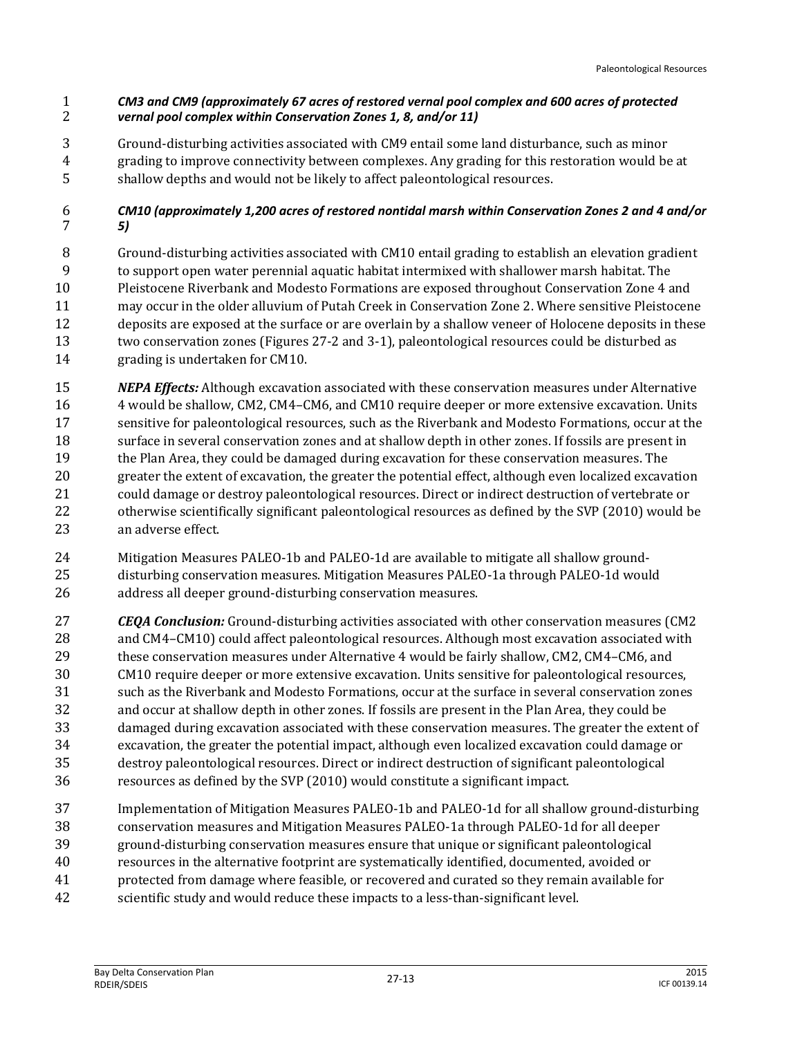#### *CM3 and CM9 (approximately 67 acres of restored vernal pool complex and 600 acres of protected vernal pool complex within Conservation Zones 1, 8, and/or 11)*

 Ground-disturbing activities associated with CM9 entail some land disturbance, such as minor grading to improve connectivity between complexes. Any grading for this restoration would be at shallow depths and would not be likely to affect paleontological resources.

### *CM10 (approximately 1,200 acres of restored nontidal marsh within Conservation Zones 2 and 4 and/or 5)*

- Ground-disturbing activities associated with CM10 entail grading to establish an elevation gradient to support open water perennial aquatic habitat intermixed with shallower marsh habitat. The Pleistocene Riverbank and Modesto Formations are exposed throughout Conservation Zone 4 and may occur in the older alluvium of Putah Creek in Conservation Zone 2. Where sensitive Pleistocene deposits are exposed at the surface or are overlain by a shallow veneer of Holocene deposits in these two conservation zones (Figures 27-2 and 3-1), paleontological resources could be disturbed as grading is undertaken for CM10.
- *NEPA Effects:* Although excavation associated with these conservation measures under Alternative 4 would be shallow, CM2, CM4–CM6, and CM10 require deeper or more extensive excavation. Units sensitive for paleontological resources, such as the Riverbank and Modesto Formations, occur at the surface in several conservation zones and at shallow depth in other zones. If fossils are present in 19 the Plan Area, they could be damaged during excavation for these conservation measures. The greater the extent of excavation, the greater the potential effect, although even localized excavation could damage or destroy paleontological resources. Direct or indirect destruction of vertebrate or otherwise scientifically significant paleontological resources as defined by the SVP (2010) would be an adverse effect.
- Mitigation Measures PALEO-1b and PALEO-1d are available to mitigate all shallow ground- disturbing conservation measures. Mitigation Measures PALEO-1a through PALEO-1d would address all deeper ground-disturbing conservation measures.
- *CEQA Conclusion:* Ground-disturbing activities associated with other conservation measures (CM2 and CM4–CM10) could affect paleontological resources. Although most excavation associated with these conservation measures under Alternative 4 would be fairly shallow, CM2, CM4–CM6, and CM10 require deeper or more extensive excavation. Units sensitive for paleontological resources, such as the Riverbank and Modesto Formations, occur at the surface in several conservation zones and occur at shallow depth in other zones. If fossils are present in the Plan Area, they could be damaged during excavation associated with these conservation measures. The greater the extent of excavation, the greater the potential impact, although even localized excavation could damage or destroy paleontological resources. Direct or indirect destruction of significant paleontological resources as defined by the SVP (2010) would constitute a significant impact.
- Implementation of Mitigation Measures PALEO-1b and PALEO-1d for all shallow ground-disturbing conservation measures and Mitigation Measures PALEO-1a through PALEO-1d for all deeper ground-disturbing conservation measures ensure that unique or significant paleontological
- resources in the alternative footprint are systematically identified, documented, avoided or
- protected from damage where feasible, or recovered and curated so they remain available for
- scientific study and would reduce these impacts to a less-than-significant level.